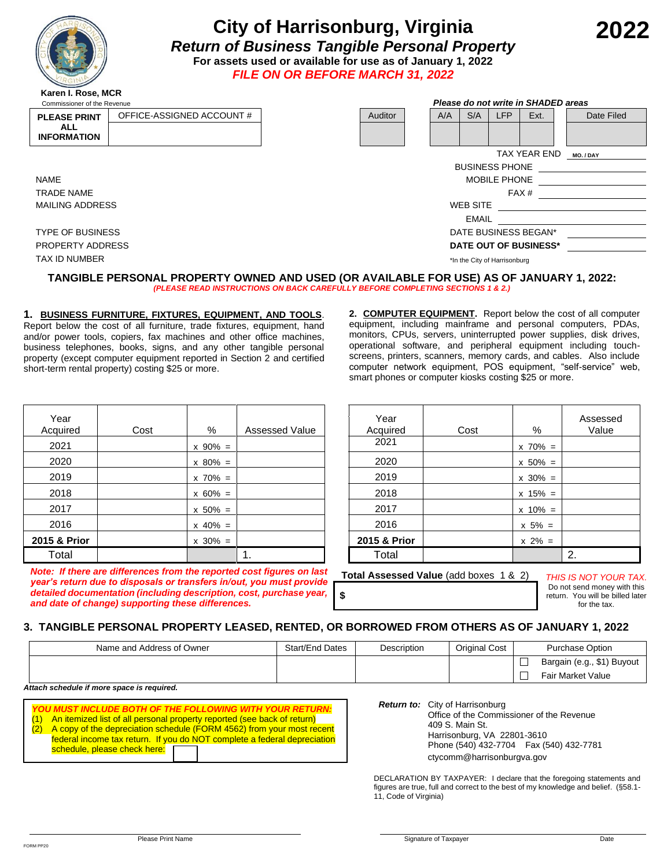

# **City of Harrisonburg, Virginia** *Return of Business Tangible Personal Property* **For assets used or available for use as of January 1, 2022**

*FILE ON OR BEFORE MARCH 31, 2022*

| Commissioner of the Revenue |                           |  | Please do not write in SHADED areas |                              |     |              |                       |                      |  |            |
|-----------------------------|---------------------------|--|-------------------------------------|------------------------------|-----|--------------|-----------------------|----------------------|--|------------|
| <b>PLEASE PRINT</b>         | OFFICE-ASSIGNED ACCOUNT # |  | Auditor                             |                              | A/A | S/A          | <b>LFP</b>            | Ext.                 |  | Date Filed |
| <b>ALL</b>                  |                           |  |                                     |                              |     |              |                       |                      |  |            |
| <b>INFORMATION</b>          |                           |  |                                     |                              |     |              |                       |                      |  |            |
|                             |                           |  |                                     |                              |     |              |                       | TAX YEAR END         |  | MO./DAY    |
|                             |                           |  |                                     |                              |     |              | <b>BUSINESS PHONE</b> |                      |  |            |
| <b>NAME</b>                 |                           |  |                                     |                              |     |              | <b>MOBILE PHONE</b>   |                      |  |            |
| <b>TRADE NAME</b>           |                           |  | FAX <sup>#</sup>                    |                              |     |              |                       |                      |  |            |
| <b>MAILING ADDRESS</b>      |                           |  | <b>WEB SITE</b>                     |                              |     |              |                       |                      |  |            |
|                             |                           |  |                                     |                              |     | <b>EMAIL</b> |                       |                      |  |            |
| <b>TYPE OF BUSINESS</b>     |                           |  |                                     |                              |     |              |                       | DATE BUSINESS BEGAN* |  |            |
| <b>PROPERTY ADDRESS</b>     |                           |  | DATE OUT OF BUSINESS*               |                              |     |              |                       |                      |  |            |
|                             |                           |  |                                     |                              |     |              |                       |                      |  |            |
| <b>TAX ID NUMBER</b>        |                           |  |                                     | *In the City of Harrisonburg |     |              |                       |                      |  |            |

#### **TANGIBLE PERSONAL PROPERTY OWNED AND USED (OR AVAILABLE FOR USE) AS OF JANUARY 1, 2022:** *(PLEASE READ INSTRUCTIONS ON BACK CAREFULLY BEFORE COMPLETING SECTIONS 1 & 2.)*

**1. BUSINESS FURNITURE, FIXTURES, EQUIPMENT, AND TOOLS**. Report below the cost of all furniture, trade fixtures, equipment, hand and/or power tools, copiers, fax machines and other office machines, business telephones, books, signs, and any other tangible personal property (except computer equipment reported in Section 2 and certified short-term rental property) costing \$25 or more.

*Note: If there are differences from the reported cost figures on last year's return due to disposals or transfers in/out, you must provide detailed documentation (including description, cost, purchase year,* 

*and date of change) supporting these differences.*

**2. COMPUTER EQUIPMENT.** Report below the cost of all computer equipment, including mainframe and personal computers, PDAs, monitors, CPUs, servers, uninterrupted power supplies, disk drives, operational software, and peripheral equipment including touchscreens, printers, scanners, memory cards, and cables. Also include computer network equipment, POS equipment, "self-service" web, smart phones or computer kiosks costing \$25 or more.

| Year<br>Acquired | Cost | %            | <b>Assessed Value</b> | Year<br>Acquired | Cost | %            | Assessed<br>Value |
|------------------|------|--------------|-----------------------|------------------|------|--------------|-------------------|
| 2021             |      | $x 90\% =$   |                       | 2021             |      | $x \ 70\% =$ |                   |
| 2020             |      | $x 80\% =$   |                       | 2020             |      | $x 50\% =$   |                   |
| 2019             |      | $x \ 70\% =$ |                       | 2019             |      | $x 30\% =$   |                   |
| 2018             |      | $x 60\% =$   |                       | 2018             |      | $x 15\% =$   |                   |
| 2017             |      | $x 50\% =$   |                       | 2017             |      | $x 10\% =$   |                   |
| 2016             |      | $x 40\% =$   |                       | 2016             |      | $x 5\% =$    |                   |
| 2015 & Prior     |      | $x 30\% =$   |                       | 2015 & Prior     |      | $x \ 2\% =$  |                   |
| Total            |      |              | 1.                    | Total            |      |              | 2.                |

**Total Assessed Value** (add boxes 1 & 2) *THIS IS NOT YOUR TAX.*

Do not send money with this return. You will be billed later for the tax.

### **3. TANGIBLE PERSONAL PROPERTY LEASED, RENTED, OR BORROWED FROM OTHERS AS OF JANUARY 1, 2022**

| Name and Address of Owner | Start/End Dates | Description | Original Cost | Purchase Option            |  |
|---------------------------|-----------------|-------------|---------------|----------------------------|--|
|                           |                 |             |               | Bargain (e.g., \$1) Buyout |  |
|                           |                 |             |               | <b>Fair Market Value</b>   |  |

**\$**

*Attach schedule if more space is required.*

| (1) An itemized list of all personal property reported (see back of return) |
|-----------------------------------------------------------------------------|
| (2) A copy of the depreciation schedule (FORM 4562) from your most recent   |
| federal income tax return. If you do NOT complete a federal depreciation    |
| schedule, please check here: [T]                                            |

*Return to:* City of Harrisonburg **Office of the Commissioner of the Revenue**  409 S. Main St. Harrisonburg, VA 22801-3610 Phone (540) 432-7704 Fax (540) 432-7781 ctycomm@harrisonburgva.gov

DECLARATION BY TAXPAYER: I declare that the foregoing statements and figures are true, full and correct to the best of my knowledge and belief. (§58.1- 11, Code of Virginia)